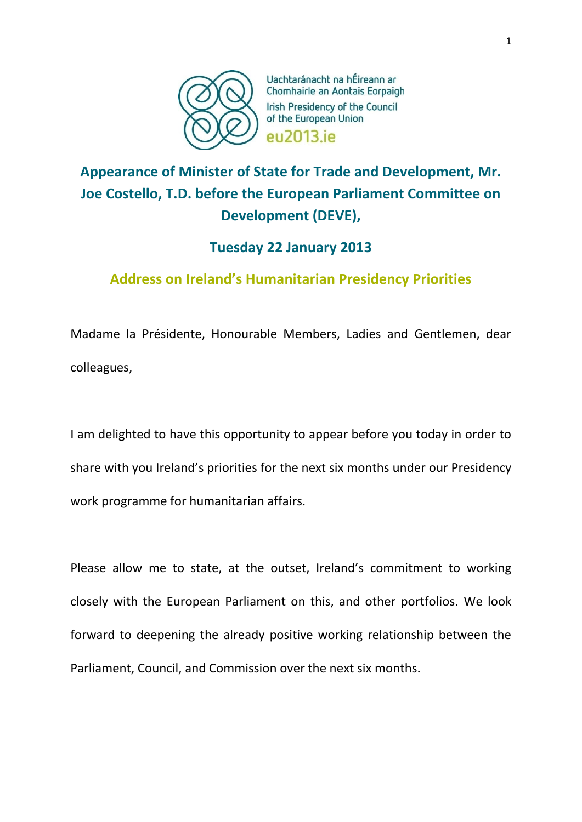

Uachtaránacht na hÉireann ar Chomhairle an Aontais Eorpaigh Irish Presidency of the Council of the European Union eu2013.ie

# **Appearance of Minister of State for Trade and Development, Mr. Joe Costello, T.D. before the European Parliament Committee on Development (DEVE),**

## **Tuesday 22 January 2013**

# **Address on Ireland's Humanitarian Presidency Priorities**

Madame la Présidente, Honourable Members, Ladies and Gentlemen, dear colleagues,

I am delighted to have this opportunity to appear before you today in order to share with you Ireland's priorities for the next six months under our Presidency work programme for humanitarian affairs.

Please allow me to state, at the outset, Ireland's commitment to working closely with the European Parliament on this, and other portfolios. We look forward to deepening the already positive working relationship between the Parliament, Council, and Commission over the next six months.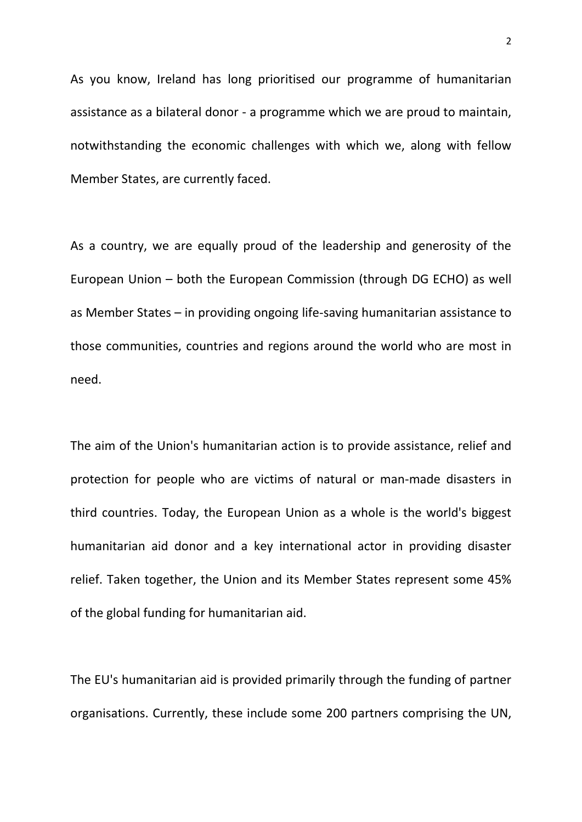As you know, Ireland has long prioritised our programme of humanitarian assistance as a bilateral donor - a programme which we are proud to maintain, notwithstanding the economic challenges with which we, along with fellow Member States, are currently faced.

As a country, we are equally proud of the leadership and generosity of the European Union – both the European Commission (through DG ECHO) as well as Member States – in providing ongoing life-saving humanitarian assistance to those communities, countries and regions around the world who are most in need.

The aim of the Union's humanitarian action is to provide assistance, relief and protection for people who are victims of natural or man-made disasters in third countries. Today, the European Union as a whole is the world's biggest humanitarian aid donor and a key international actor in providing disaster relief. Taken together, the Union and its Member States represent some 45% of the global funding for humanitarian aid.

The EU's humanitarian aid is provided primarily through the funding of partner organisations. Currently, these include some 200 partners comprising the UN,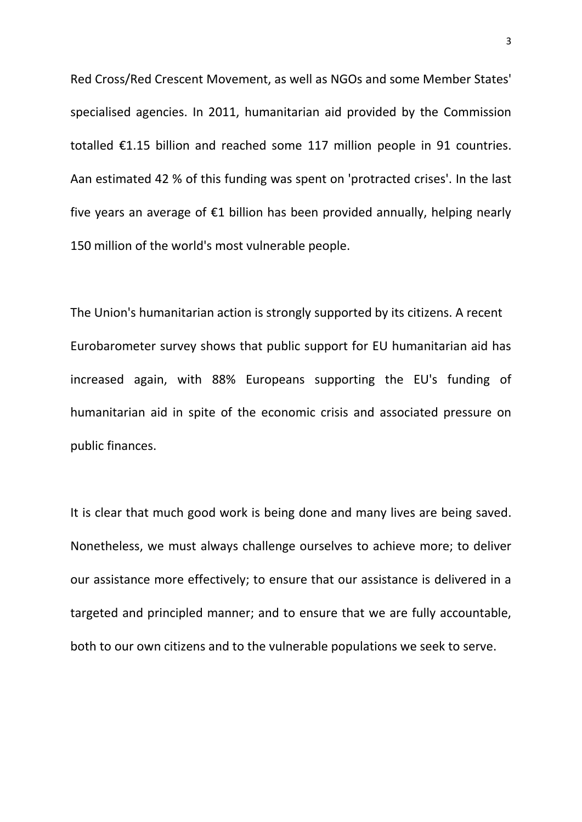Red Cross/Red Crescent Movement, as well as NGOs and some Member States' specialised agencies. In 2011, humanitarian aid provided by the Commission totalled €1.15 billion and reached some 117 million people in 91 countries. Aan estimated 42 % of this funding was spent on 'protracted crises'. In the last five years an average of €1 billion has been provided annually, helping nearly 150 million of the world's most vulnerable people.

The Union's humanitarian action is strongly supported by its citizens. A recent Eurobarometer survey shows that public support for EU humanitarian aid has increased again, with 88% Europeans supporting the EU's funding of humanitarian aid in spite of the economic crisis and associated pressure on public finances.

It is clear that much good work is being done and many lives are being saved. Nonetheless, we must always challenge ourselves to achieve more; to deliver our assistance more effectively; to ensure that our assistance is delivered in a targeted and principled manner; and to ensure that we are fully accountable, both to our own citizens and to the vulnerable populations we seek to serve.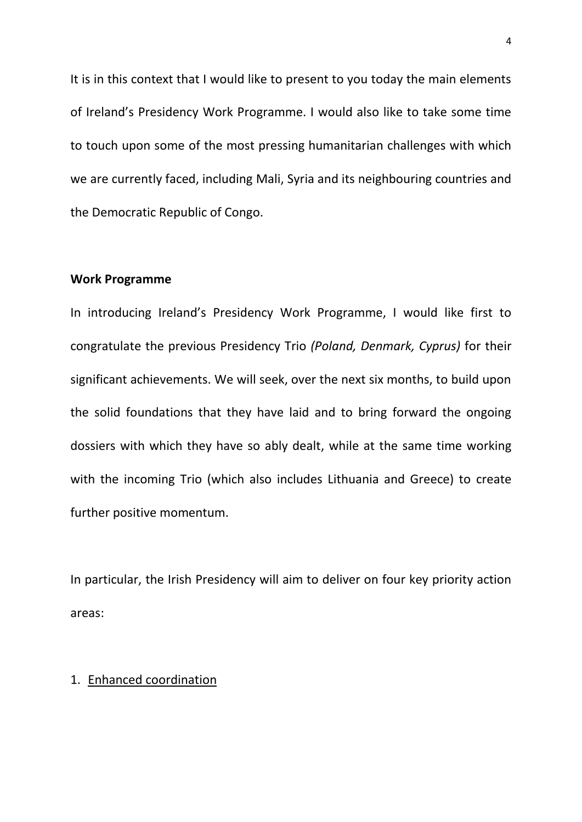It is in this context that I would like to present to you today the main elements of Ireland's Presidency Work Programme. I would also like to take some time to touch upon some of the most pressing humanitarian challenges with which we are currently faced, including Mali, Syria and its neighbouring countries and the Democratic Republic of Congo.

### **Work Programme**

In introducing Ireland's Presidency Work Programme, I would like first to congratulate the previous Presidency Trio *(Poland, Denmark, Cyprus)* for their significant achievements. We will seek, over the next six months, to build upon the solid foundations that they have laid and to bring forward the ongoing dossiers with which they have so ably dealt, while at the same time working with the incoming Trio (which also includes Lithuania and Greece) to create further positive momentum.

In particular, the Irish Presidency will aim to deliver on four key priority action areas:

### 1. Enhanced coordination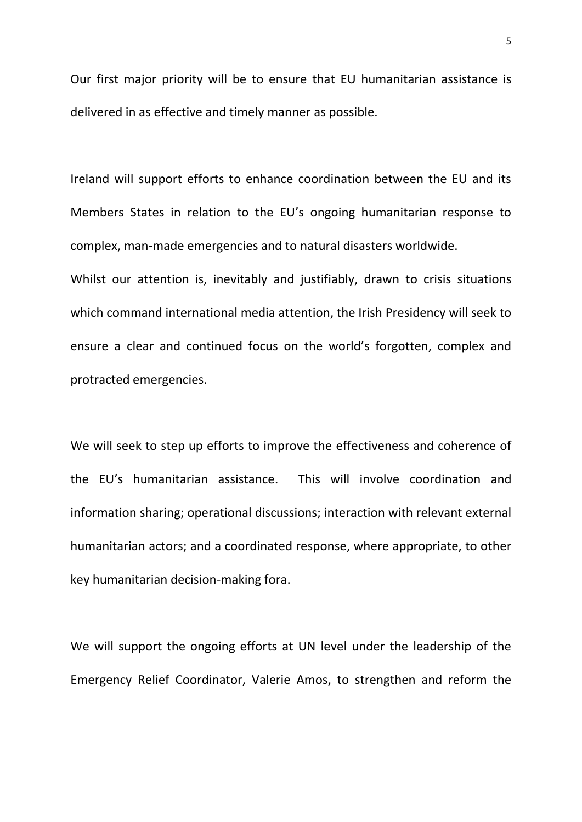Our first major priority will be to ensure that EU humanitarian assistance is delivered in as effective and timely manner as possible.

Ireland will support efforts to enhance coordination between the EU and its Members States in relation to the EU's ongoing humanitarian response to complex, man-made emergencies and to natural disasters worldwide.

Whilst our attention is, inevitably and justifiably, drawn to crisis situations which command international media attention, the Irish Presidency will seek to ensure a clear and continued focus on the world's forgotten, complex and protracted emergencies.

We will seek to step up efforts to improve the effectiveness and coherence of the EU's humanitarian assistance. This will involve coordination and information sharing; operational discussions; interaction with relevant external humanitarian actors; and a coordinated response, where appropriate, to other key humanitarian decision-making fora.

We will support the ongoing efforts at UN level under the leadership of the Emergency Relief Coordinator, Valerie Amos, to strengthen and reform the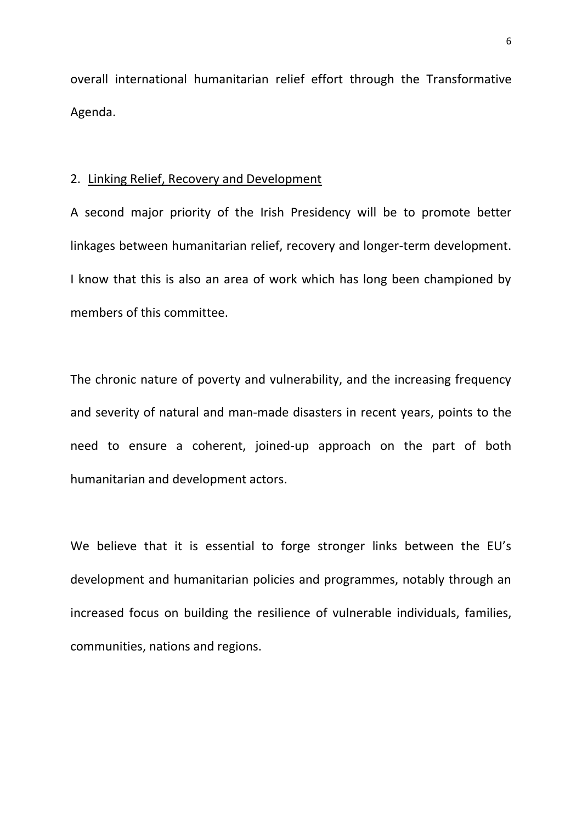overall international humanitarian relief effort through the Transformative Agenda.

#### 2. Linking Relief, Recovery and Development

A second major priority of the Irish Presidency will be to promote better linkages between humanitarian relief, recovery and longer-term development. I know that this is also an area of work which has long been championed by members of this committee.

The chronic nature of poverty and vulnerability, and the increasing frequency and severity of natural and man-made disasters in recent years, points to the need to ensure a coherent, joined-up approach on the part of both humanitarian and development actors.

We believe that it is essential to forge stronger links between the EU's development and humanitarian policies and programmes, notably through an increased focus on building the resilience of vulnerable individuals, families, communities, nations and regions.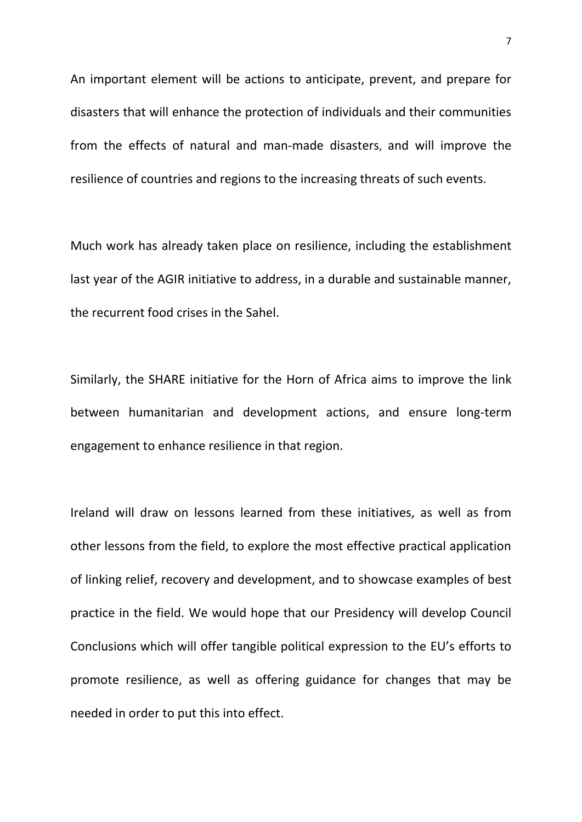An important element will be actions to anticipate, prevent, and prepare for disasters that will enhance the protection of individuals and their communities from the effects of natural and man-made disasters, and will improve the resilience of countries and regions to the increasing threats of such events.

Much work has already taken place on resilience, including the establishment last year of the AGIR initiative to address, in a durable and sustainable manner, the recurrent food crises in the Sahel.

Similarly, the SHARE initiative for the Horn of Africa aims to improve the link between humanitarian and development actions, and ensure long-term engagement to enhance resilience in that region.

Ireland will draw on lessons learned from these initiatives, as well as from other lessons from the field, to explore the most effective practical application of linking relief, recovery and development, and to showcase examples of best practice in the field. We would hope that our Presidency will develop Council Conclusions which will offer tangible political expression to the EU's efforts to promote resilience, as well as offering guidance for changes that may be needed in order to put this into effect.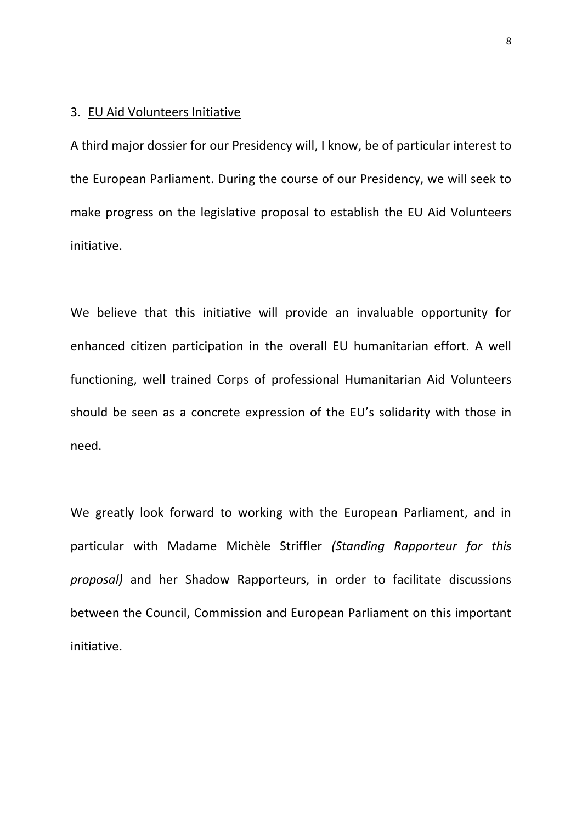### 3. EU Aid Volunteers Initiative

A third major dossier for our Presidency will, I know, be of particular interest to the European Parliament. During the course of our Presidency, we will seek to make progress on the legislative proposal to establish the EU Aid Volunteers initiative.

We believe that this initiative will provide an invaluable opportunity for enhanced citizen participation in the overall EU humanitarian effort. A well functioning, well trained Corps of professional Humanitarian Aid Volunteers should be seen as a concrete expression of the EU's solidarity with those in need.

We greatly look forward to working with the European Parliament, and in particular with Madame Michèle Striffler *(Standing Rapporteur for this proposal)* and her Shadow Rapporteurs, in order to facilitate discussions between the Council, Commission and European Parliament on this important initiative.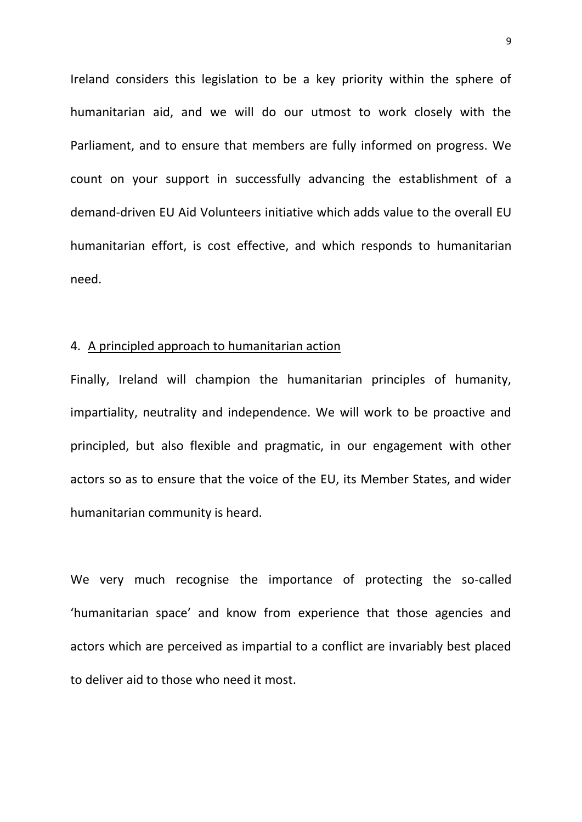Ireland considers this legislation to be a key priority within the sphere of humanitarian aid, and we will do our utmost to work closely with the Parliament, and to ensure that members are fully informed on progress. We count on your support in successfully advancing the establishment of a demand-driven EU Aid Volunteers initiative which adds value to the overall EU humanitarian effort, is cost effective, and which responds to humanitarian need.

#### 4. A principled approach to humanitarian action

Finally, Ireland will champion the humanitarian principles of humanity, impartiality, neutrality and independence. We will work to be proactive and principled, but also flexible and pragmatic, in our engagement with other actors so as to ensure that the voice of the EU, its Member States, and wider humanitarian community is heard.

We very much recognise the importance of protecting the so-called 'humanitarian space' and know from experience that those agencies and actors which are perceived as impartial to a conflict are invariably best placed to deliver aid to those who need it most.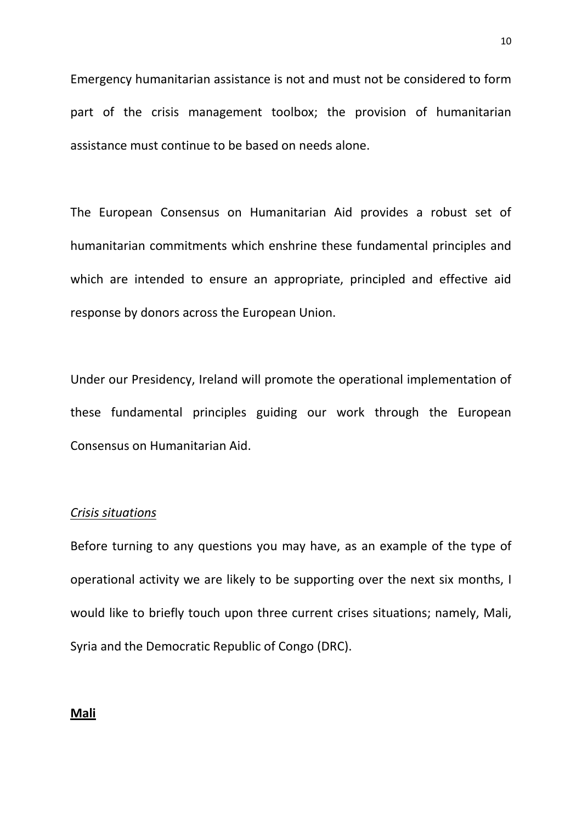Emergency humanitarian assistance is not and must not be considered to form part of the crisis management toolbox; the provision of humanitarian assistance must continue to be based on needs alone.

The European Consensus on Humanitarian Aid provides a robust set of humanitarian commitments which enshrine these fundamental principles and which are intended to ensure an appropriate, principled and effective aid response by donors across the European Union.

Under our Presidency, Ireland will promote the operational implementation of these fundamental principles guiding our work through the European Consensus on Humanitarian Aid.

#### *Crisis situations*

Before turning to any questions you may have, as an example of the type of operational activity we are likely to be supporting over the next six months, I would like to briefly touch upon three current crises situations; namely, Mali, Syria and the Democratic Republic of Congo (DRC).

#### **Mali**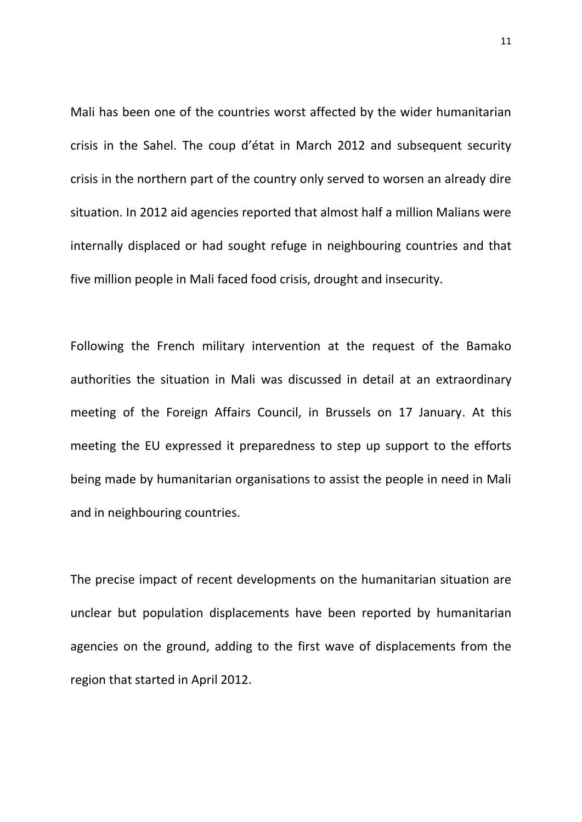Mali has been one of the countries worst affected by the wider humanitarian crisis in the Sahel. The coup d'état in March 2012 and subsequent security crisis in the northern part of the country only served to worsen an already dire situation. In 2012 aid agencies reported that almost half a million Malians were internally displaced or had sought refuge in neighbouring countries and that five million people in Mali faced food crisis, drought and insecurity.

Following the French military intervention at the request of the Bamako authorities the situation in Mali was discussed in detail at an extraordinary meeting of the Foreign Affairs Council, in Brussels on 17 January. At this meeting the EU expressed it preparedness to step up support to the efforts being made by humanitarian organisations to assist the people in need in Mali and in neighbouring countries.

The precise impact of recent developments on the humanitarian situation are unclear but population displacements have been reported by humanitarian agencies on the ground, adding to the first wave of displacements from the region that started in April 2012.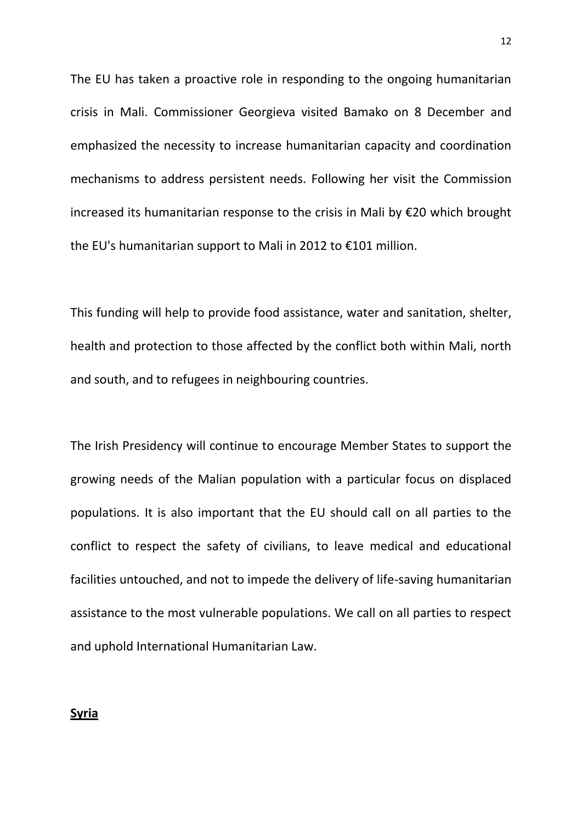The EU has taken a proactive role in responding to the ongoing humanitarian crisis in Mali. Commissioner Georgieva visited Bamako on 8 December and emphasized the necessity to increase humanitarian capacity and coordination mechanisms to address persistent needs. Following her visit the Commission increased its humanitarian response to the crisis in Mali by €20 which brought the EU's humanitarian support to Mali in 2012 to €101 million.

This funding will help to provide food assistance, water and sanitation, shelter, health and protection to those affected by the conflict both within Mali, north and south, and to refugees in neighbouring countries.

The Irish Presidency will continue to encourage Member States to support the growing needs of the Malian population with a particular focus on displaced populations. It is also important that the EU should call on all parties to the conflict to respect the safety of civilians, to leave medical and educational facilities untouched, and not to impede the delivery of life-saving humanitarian assistance to the most vulnerable populations. We call on all parties to respect and uphold International Humanitarian Law.

#### **Syria**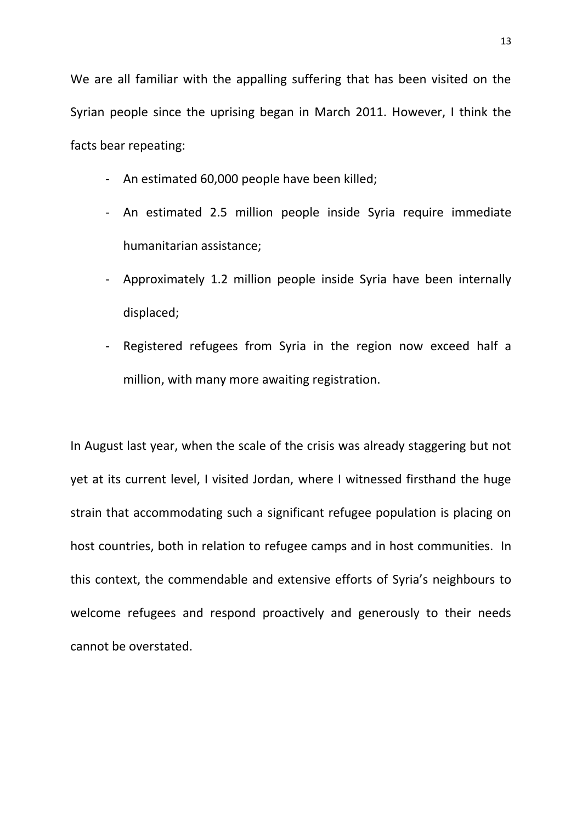We are all familiar with the appalling suffering that has been visited on the Syrian people since the uprising began in March 2011. However, I think the facts bear repeating:

- An estimated 60,000 people have been killed;
- An estimated 2.5 million people inside Syria require immediate humanitarian assistance;
- Approximately 1.2 million people inside Syria have been internally displaced;
- Registered refugees from Syria in the region now exceed half a million, with many more awaiting registration.

In August last year, when the scale of the crisis was already staggering but not yet at its current level, I visited Jordan, where I witnessed firsthand the huge strain that accommodating such a significant refugee population is placing on host countries, both in relation to refugee camps and in host communities. In this context, the commendable and extensive efforts of Syria's neighbours to welcome refugees and respond proactively and generously to their needs cannot be overstated.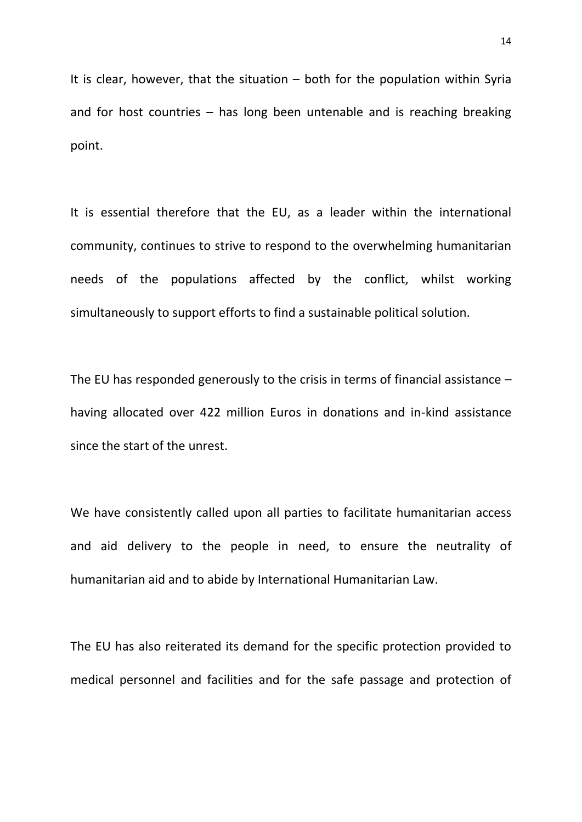It is clear, however, that the situation  $-$  both for the population within Syria and for host countries – has long been untenable and is reaching breaking point.

It is essential therefore that the EU, as a leader within the international community, continues to strive to respond to the overwhelming humanitarian needs of the populations affected by the conflict, whilst working simultaneously to support efforts to find a sustainable political solution.

The EU has responded generously to the crisis in terms of financial assistance – having allocated over 422 million Euros in donations and in-kind assistance since the start of the unrest.

We have consistently called upon all parties to facilitate humanitarian access and aid delivery to the people in need, to ensure the neutrality of humanitarian aid and to abide by International Humanitarian Law.

The EU has also reiterated its demand for the specific protection provided to medical personnel and facilities and for the safe passage and protection of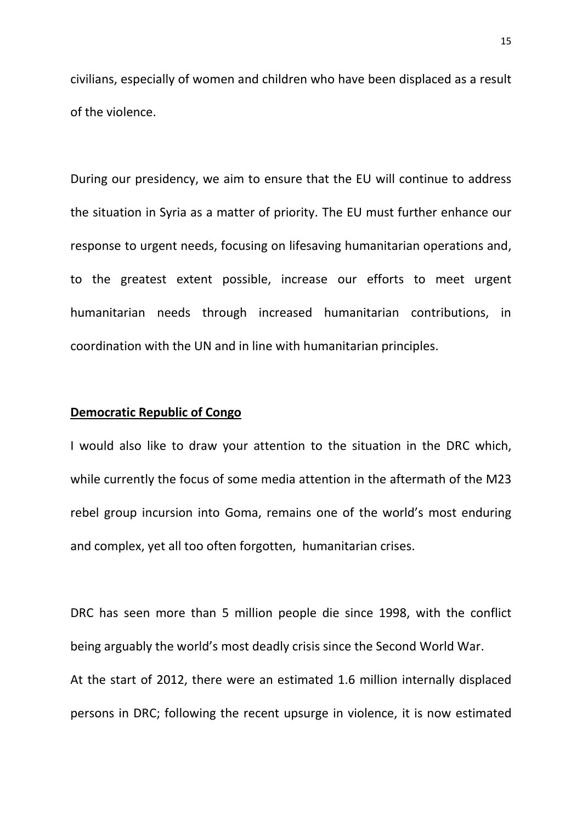civilians, especially of women and children who have been displaced as a result of the violence.

During our presidency, we aim to ensure that the EU will continue to address the situation in Syria as a matter of priority. The EU must further enhance our response to urgent needs, focusing on lifesaving humanitarian operations and, to the greatest extent possible, increase our efforts to meet urgent humanitarian needs through increased humanitarian contributions, in coordination with the UN and in line with humanitarian principles.

#### **Democratic Republic of Congo**

I would also like to draw your attention to the situation in the DRC which, while currently the focus of some media attention in the aftermath of the M23 rebel group incursion into Goma, remains one of the world's most enduring and complex, yet all too often forgotten, humanitarian crises.

DRC has seen more than 5 million people die since 1998, with the conflict being arguably the world's most deadly crisis since the Second World War. At the start of 2012, there were an estimated 1.6 million internally displaced persons in DRC; following the recent upsurge in violence, it is now estimated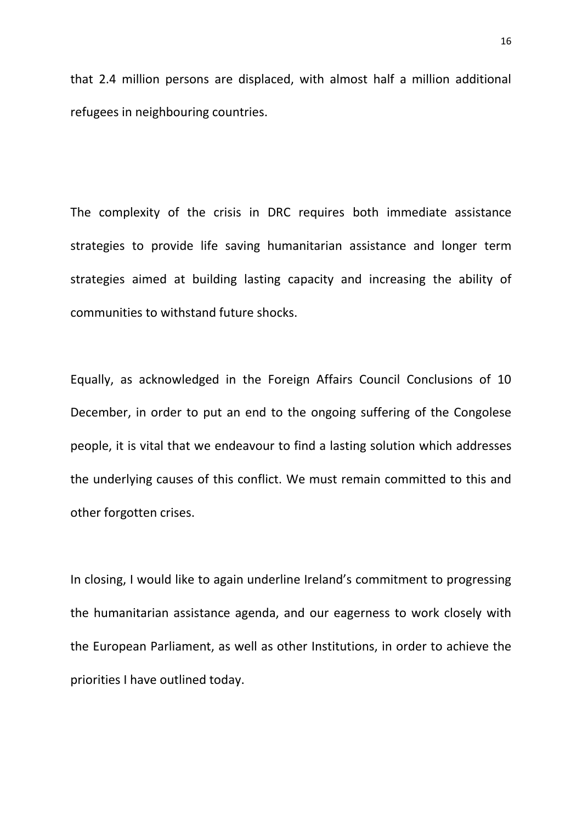that 2.4 million persons are displaced, with almost half a million additional refugees in neighbouring countries.

The complexity of the crisis in DRC requires both immediate assistance strategies to provide life saving humanitarian assistance and longer term strategies aimed at building lasting capacity and increasing the ability of communities to withstand future shocks.

Equally, as acknowledged in the Foreign Affairs Council Conclusions of 10 December, in order to put an end to the ongoing suffering of the Congolese people, it is vital that we endeavour to find a lasting solution which addresses the underlying causes of this conflict. We must remain committed to this and other forgotten crises.

In closing, I would like to again underline Ireland's commitment to progressing the humanitarian assistance agenda, and our eagerness to work closely with the European Parliament, as well as other Institutions, in order to achieve the priorities I have outlined today.